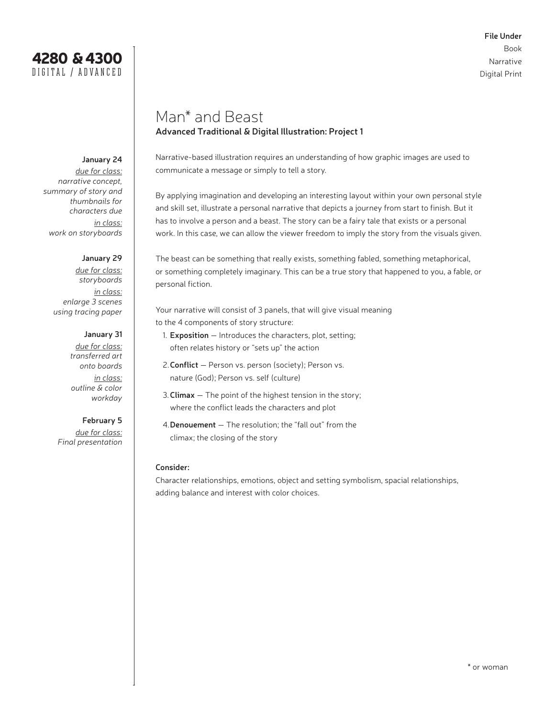

# Man\* and Beast **Advanced Traditional & Digital Illustration: Project 1**

Narrative-based illustration requires an understanding of how graphic images are used to communicate a message or simply to tell a story.

By applying imagination and developing an interesting layout within your own personal style and skill set, illustrate a personal narrative that depicts a journey from start to finish. But it has to involve a person and a beast. The story can be a fairy tale that exists or a personal work. In this case, we can allow the viewer freedom to imply the story from the visuals given.

The beast can be something that really exists, something fabled, something metaphorical, or something completely imaginary. This can be a true story that happened to you, a fable, or personal fiction.

Your narrative will consist of 3 panels, that will give visual meaning to the 4 components of story structure:

- 1. **Exposition** Introduces the characters, plot, setting; often relates history or "sets up" the action
- 2.**Conflict** Person vs. person (society); Person vs. nature (God); Person vs. self (culture)
- 3.**Climax** The point of the highest tension in the story; where the conflict leads the characters and plot
- 4.**Denouement** The resolution; the "fall out" from the climax; the closing of the story

#### **Consider:**

Character relationships, emotions, object and setting symbolism, spacial relationships, adding balance and interest with color choices.

## **January 24**

*due for class: narrative concept, summary of story and thumbnails for characters due in class: work on storyboards* 

4280 & 4300 DIGITA L / ADVANCED

#### **January 29**

*due for class: storyboards in class: enlarge 3 scenes using tracing paper*

> **January 31** *due for class: transferred art onto boards in class: outline & color workday*

#### **February 5**

*due for class: Final presentation*